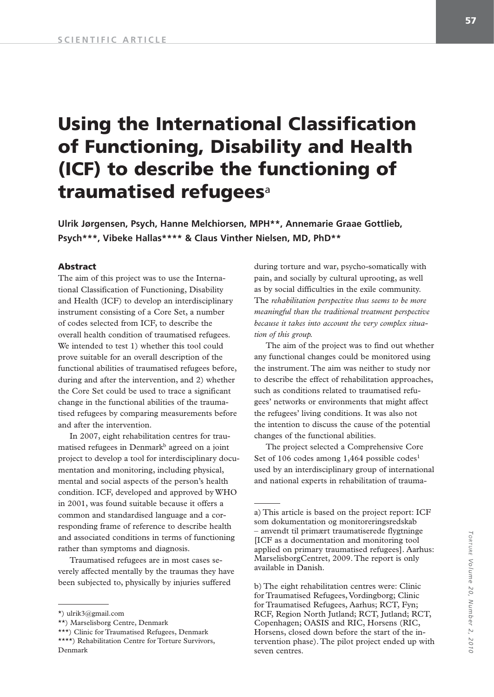# **Using the International Classification of Functioning, Disability and Health (ICF) to describe the functioning of traumatised refugees**<sup>a</sup>

**Ulrik Jørgensen, Psych, Hanne Melchiorsen, MPH\*\*, Annemarie Graae Gottlieb, Psych\*\*\*, Vibeke Hallas\*\*\*\* & Claus Vinther Nielsen, MD, PhD\*\***

# **Abstract**

The aim of this project was to use the International Classification of Functioning, Disability and Health (ICF) to develop an interdisciplinary instrument consisting of a Core Set, a number of codes selected from ICF, to describe the overall health condition of traumatised refugees. We intended to test 1) whether this tool could prove suitable for an overall description of the functional abilities of traumatised refugees before, during and after the intervention, and 2) whether the Core Set could be used to trace a significant change in the functional abilities of the traumatised refugees by comparing measurements before and after the intervention.

In 2007, eight rehabilitation centres for traumatised refugees in Denmark<sup>b</sup> agreed on a joint project to develop a tool for interdisciplinary documentation and monitoring, including physical, mental and social aspects of the person's health condition. ICF, developed and approved by WHO in 2001, was found suitable because it offers a common and standardised language and a corresponding frame of reference to describe health and associated conditions in terms of functioning rather than symptoms and diagnosis.

Traumatised refugees are in most cases severely affected mentally by the traumas they have been subjected to, physically by injuries suffered

during torture and war, psycho-somatically with pain, and socially by cultural uprooting, as well as by social difficulties in the exile community. The *rehabilitation perspective thus seems to be more meaningful than the traditional treatment perspective because it takes into account the very complex situation of this group.* 

The aim of the project was to find out whether any functional changes could be monitored using the instrument. The aim was neither to study nor to describe the effect of rehabilitation approaches, such as conditions related to traumatised refugees' networks or environments that might affect the refugees' living conditions. It was also not the intention to discuss the cause of the potential changes of the functional abilities.

The project selected a Comprehensive Core Set of 106 codes among  $1,464$  possible codes<sup>1</sup> used by an interdisciplinary group of international and national experts in rehabilitation of trauma-

<sup>\*)</sup> ulrik3@gmail.com

<sup>\*\*)</sup> Marselisborg Centre, Denmark

<sup>\*\*\*)</sup> Clinic for Traumatised Refugees, Denmark \*\*\*\*) Rehabilitation Centre for Torture Survivors, Denmark

a) This article is based on the project report: ICF som dokumentation og monitoreringsredskab – anvendt til primært traumatiserede flygtninge [ICF as a documentation and monitoring tool applied on primary traumatised refugees]. Aarhus: MarselisborgCentret, 2009. The report is only available in Danish.

b) The eight rehabilitation centres were: Clinic for Traumatised Refugees, Vordingborg; Clinic for Traumatised Refugees, Aarhus; RCT, Fyn; RCF, Region North Jutland; RCT, Jutland; RCT, Copenhagen; OASIS and RIC, Horsens (RIC, Horsens, closed down before the start of the intervention phase). The pilot project ended up with seven centres.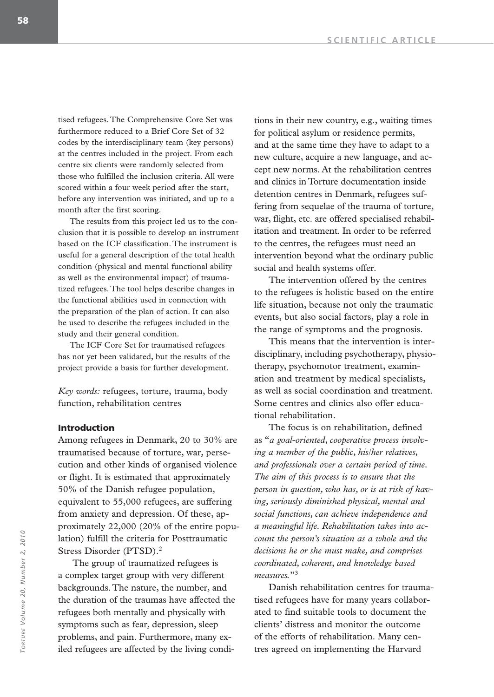tised refugees. The Comprehensive Core Set was furthermore reduced to a Brief Core Set of 32 codes by the interdisciplinary team (key persons) at the centres included in the project. From each centre six clients were randomly selected from those who fulfilled the inclusion criteria. All were scored within a four week period after the start, before any intervention was initiated, and up to a month after the first scoring.

The results from this project led us to the conclusion that it is possible to develop an instrument based on the ICF classification. The instrument is useful for a general description of the total health condition (physical and mental functional ability as well as the environmental impact) of traumatized refugees. The tool helps describe changes in the functional abilities used in connection with the preparation of the plan of action. It can also be used to describe the refugees included in the study and their general condition.

The ICF Core Set for traumatised refugees has not yet been validated, but the results of the project provide a basis for further development.

*Key words:* refugees, torture, trauma, body function, rehabilitation centres

# **Introduction**

Among refugees in Denmark, 20 to 30% are traumatised because of torture, war, persecution and other kinds of organised violence or flight. It is estimated that approximately 50% of the Danish refugee population, equivalent to 55,000 refugees, are suffering from anxiety and depression. Of these, approximately 22,000 (20% of the entire population) fulfill the criteria for Posttraumatic Stress Disorder (PTSD).2

The group of traumatized refugees is a complex target group with very different backgrounds. The nature, the number, and the duration of the traumas have affected the refugees both mentally and physically with symptoms such as fear, depression, sleep problems, and pain. Furthermore, many exiled refugees are affected by the living condi-

tions in their new country, e.g., waiting times for political asylum or residence permits, and at the same time they have to adapt to a new culture, acquire a new language, and accept new norms. At the rehabilitation centres and clinics in Torture documentation inside detention centres in Denmark, refugees suffering from sequelae of the trauma of torture, war, flight, etc. are offered specialised rehabilitation and treatment. In order to be referred to the centres, the refugees must need an intervention beyond what the ordinary public social and health systems offer.

The intervention offered by the centres to the refugees is holistic based on the entire life situation, because not only the traumatic events, but also social factors, play a role in the range of symptoms and the prognosis.

This means that the intervention is interdisciplinary, including psychotherapy, physiotherapy, psychomotor treatment, examination and treatment by medical specialists, as well as social coordination and treatment. Some centres and clinics also offer educational rehabilitation.

The focus is on rehabilitation, defined as "*a goal-oriented, cooperative process involving a member of the public, his/her relatives, and professionals over a certain period of time. The aim of this process is to ensure that the person in question, who has, or is at risk of having, seriously diminished physical, mental and social functions, can achieve independence and a meaningful life. Rehabilitation takes into account the person's situation as a whole and the decisions he or she must make, and comprises coordinated, coherent, and knowledge based*  measures."<sup>3</sup>

Danish rehabilitation centres for traumatised refugees have for many years collaborated to find suitable tools to document the clients' distress and monitor the outcome of the efforts of rehabilitation. Many centres agreed on implementing the Harvard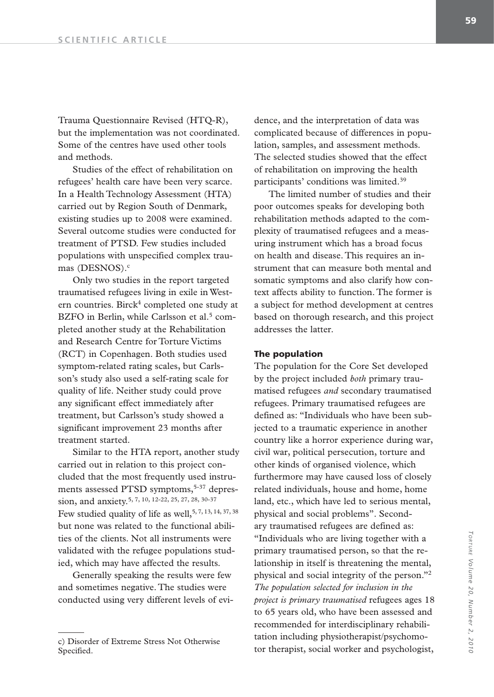Trauma Questionnaire Revised (HTQ-R), but the implementation was not coordinated. Some of the centres have used other tools and methods.

Studies of the effect of rehabilitation on refugees' health care have been very scarce. In a Health Technology Assessment (HTA) carried out by Region South of Denmark, existing studies up to 2008 were examined. Several outcome studies were conducted for treatment of PTSD. Few studies included populations with unspecified complex traumas (DESNOS).<sup>c</sup>

Only two studies in the report targeted traumatised refugees living in exile in Western countries. Birck<sup>4</sup> completed one study at BZFO in Berlin, while Carlsson et al.<sup>5</sup> completed another study at the Rehabilitation and Research Centre for Torture Victims (RCT) in Copenhagen. Both studies used symptom-related rating scales, but Carlsson's study also used a self-rating scale for quality of life. Neither study could prove any significant effect immediately after treatment, but Carlsson's study showed a significant improvement 23 months after treatment started.

Similar to the HTA report, another study carried out in relation to this project concluded that the most frequently used instruments assessed PTSD symptoms,<sup>5-37</sup> depression, and anxiety.5, 7, 10, 12-22, 25, 27, 28, 30-37 Few studied quality of life as well,  $5, 7, 13, 14, 37, 38$ but none was related to the functional abilities of the clients. Not all instruments were validated with the refugee populations studied, which may have affected the results.

Generally speaking the results were few and sometimes negative. The studies were conducted using very different levels of evidence, and the interpretation of data was complicated because of differences in population, samples, and assessment methods. The selected studies showed that the effect of rehabilitation on improving the health participants' conditions was limited.39

The limited number of studies and their poor outcomes speaks for developing both rehabilitation methods adapted to the complexity of traumatised refugees and a measuring instrument which has a broad focus on health and disease. This requires an instrument that can measure both mental and somatic symptoms and also clarify how context affects ability to function. The former is a subject for method development at centres based on thorough research, and this project addresses the latter.

# **The population**

The population for the Core Set developed by the project included *both* primary traumatised refugees *and* secondary traumatised refugees. Primary traumatised refugees are defined as: "Individuals who have been subjected to a traumatic experience in another country like a horror experience during war, civil war, political persecution, torture and other kinds of organised violence, which furthermore may have caused loss of closely related individuals, house and home, home land, etc., which have led to serious mental, physical and social problems". Secondary traumatised refugees are defined as: "Individuals who are living together with a primary traumatised person, so that the relationship in itself is threatening the mental, physical and social integrity of the person."2 *The population selected for inclusion in the project is primary traumatised* refugees ages 18 to 65 years old, who have been assessed and recommended for interdisciplinary rehabilitation including physiotherapist/psychomoc) Disorder of Extreme Stress Not Otherwise<br>
tor therapist, social worker and psychologist,

Specified.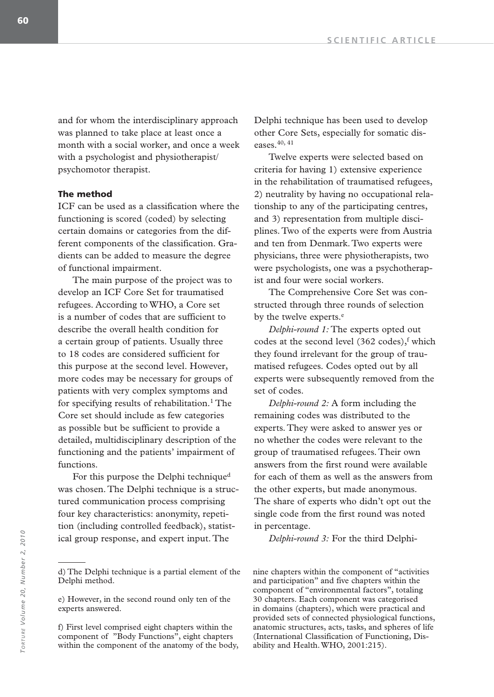and for whom the interdisciplinary approach was planned to take place at least once a month with a social worker, and once a week with a psychologist and physiotherapist/ psychomotor therapist.

# **The method**

ICF can be used as a classification where the functioning is scored (coded) by selecting certain domains or categories from the different components of the classification. Gradients can be added to measure the degree of functional impairment.

The main purpose of the project was to develop an ICF Core Set for traumatised refugees. According to WHO, a Core set is a number of codes that are sufficient to describe the overall health condition for a certain group of patients. Usually three to 18 codes are considered sufficient for this purpose at the second level. However, more codes may be necessary for groups of patients with very complex symptoms and for specifying results of rehabilitation.<sup>1</sup> The Core set should include as few categories as possible but be sufficient to provide a detailed, multidisciplinary description of the functioning and the patients' impairment of functions.

For this purpose the Delphi techniqued was chosen. The Delphi technique is a structured communication process comprising four key characteristics: anonymity, repetition (including controlled feedback), statistical group response, and expert input. The

Delphi technique has been used to develop other Core Sets, especially for somatic diseases.40, 41

Twelve experts were selected based on criteria for having 1) extensive experience in the rehabilitation of traumatised refugees, 2) neutrality by having no occupational relationship to any of the participating centres, and 3) representation from multiple disciplines. Two of the experts were from Austria and ten from Denmark. Two experts were physicians, three were physiotherapists, two were psychologists, one was a psychotherapist and four were social workers.

The Comprehensive Core Set was constructed through three rounds of selection by the twelve experts.<sup>e</sup>

*Delphi-round 1:* The experts opted out codes at the second level  $(362 \text{ codes})$ , which they found irrelevant for the group of traumatised refugees. Codes opted out by all experts were subsequently removed from the set of codes.

*Delphi-round 2:* A form including the remaining codes was distributed to the experts. They were asked to answer yes or no whether the codes were relevant to the group of traumatised refugees. Their own answers from the first round were available for each of them as well as the answers from the other experts, but made anonymous. The share of experts who didn't opt out the single code from the first round was noted in percentage.

*Delphi-round 3:* For the third Delphi-

nine chapters within the component of "activities and participation" and five chapters within the component of "environmental factors", totaling 30 chapters. Each component was categorised in domains (chapters), which were practical and provided sets of connected physiological functions, anatomic structures, acts, tasks, and spheres of life (International Classification of Functioning, Disability and Health. WHO, 2001:215).

d) The Delphi technique is a partial element of the Delphi method.

e) However, in the second round only ten of the experts answered.

f) First level comprised eight chapters within the component of "Body Functions", eight chapters within the component of the anatomy of the body,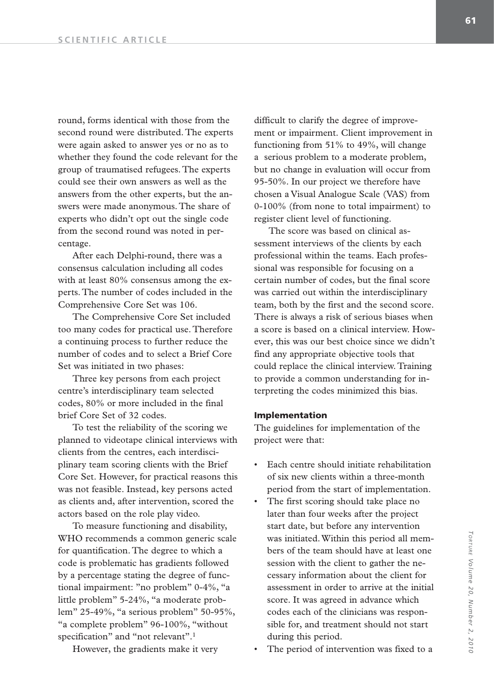round, forms identical with those from the second round were distributed. The experts were again asked to answer yes or no as to whether they found the code relevant for the group of traumatised refugees. The experts could see their own answers as well as the answers from the other experts, but the answers were made anonymous. The share of experts who didn't opt out the single code from the second round was noted in percentage.

After each Delphi-round, there was a consensus calculation including all codes with at least 80% consensus among the experts. The number of codes included in the Comprehensive Core Set was 106.

The Comprehensive Core Set included too many codes for practical use. Therefore a continuing process to further reduce the number of codes and to select a Brief Core Set was initiated in two phases:

Three key persons from each project centre's interdisciplinary team selected codes, 80% or more included in the final brief Core Set of 32 codes.

To test the reliability of the scoring we planned to videotape clinical interviews with clients from the centres, each interdisciplinary team scoring clients with the Brief Core Set. However, for practical reasons this was not feasible. Instead, key persons acted as clients and, after intervention, scored the actors based on the role play video.

To measure functioning and disability, WHO recommends a common generic scale for quantification. The degree to which a code is problematic has gradients followed by a percentage stating the degree of functional impairment: "no problem" 0-4%, "a little problem" 5-24%, "a moderate problem" 25-49%, "a serious problem" 50-95%, "a complete problem" 96-100%, "without specification" and "not relevant".<sup>1</sup>

However, the gradients make it very

difficult to clarify the degree of improvement or impairment. Client improvement in functioning from 51% to 49%, will change a serious problem to a moderate problem, but no change in evaluation will occur from 95-50%. In our project we therefore have chosen a Visual Analogue Scale (VAS) from 0-100% (from none to total impairment) to register client level of functioning.

The score was based on clinical assessment interviews of the clients by each professional within the teams. Each professional was responsible for focusing on a certain number of codes, but the final score was carried out within the interdisciplinary team, both by the first and the second score. There is always a risk of serious biases when a score is based on a clinical interview. However, this was our best choice since we didn't find any appropriate objective tools that could replace the clinical interview. Training to provide a common understanding for interpreting the codes minimized this bias.

## **Implementation**

The guidelines for implementation of the project were that:

- Each centre should initiate rehabilitation of six new clients within a three-month period from the start of implementation.
- The first scoring should take place no later than four weeks after the project start date, but before any intervention was initiated. Within this period all members of the team should have at least one session with the client to gather the necessary information about the client for assessment in order to arrive at the initial score. It was agreed in advance which codes each of the clinicians was responsible for, and treatment should not start during this period.
- The period of intervention was fixed to a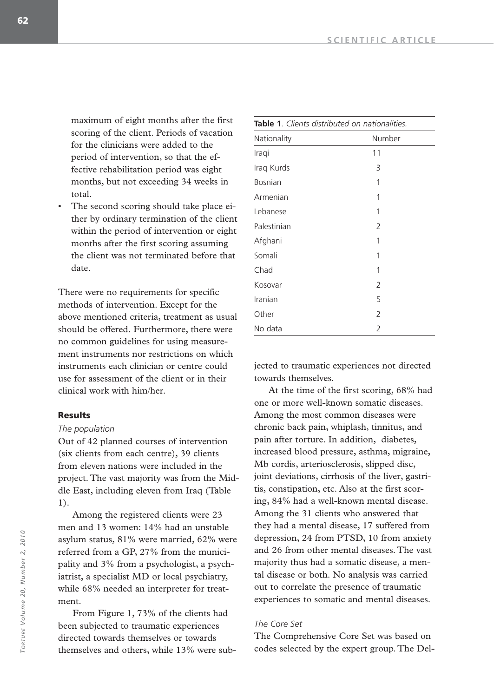maximum of eight months after the first scoring of the client. Periods of vacation for the clinicians were added to the period of intervention, so that the effective rehabilitation period was eight months, but not exceeding 34 weeks in total.

The second scoring should take place either by ordinary termination of the client within the period of intervention or eight months after the first scoring assuming the client was not terminated before that date.

There were no requirements for specific methods of intervention. Except for the above mentioned criteria, treatment as usual should be offered. Furthermore, there were no common guidelines for using measurement instruments nor restrictions on which instruments each clinician or centre could use for assessment of the client or in their clinical work with him/her.

#### **Results**

#### *The population*

Out of 42 planned courses of intervention (six clients from each centre), 39 clients from eleven nations were included in the project. The vast majority was from the Middle East, including eleven from Iraq (Table 1).

Among the registered clients were 23 men and 13 women: 14% had an unstable asylum status, 81% were married, 62% were referred from a GP, 27% from the municipality and 3% from a psychologist, a psychiatrist, a specialist MD or local psychiatry, while 68% needed an interpreter for treatment.

From Figure 1, 73% of the clients had been subjected to traumatic experiences directed towards themselves or towards themselves and others, while 13% were sub-

| <b>Table 1.</b> Clients distributed on nationalities. |                |  |  |  |
|-------------------------------------------------------|----------------|--|--|--|
| Nationality                                           | Number         |  |  |  |
| Iraqi                                                 | 11             |  |  |  |
| Iraq Kurds                                            | 3              |  |  |  |
| Bosnian                                               | 1              |  |  |  |
| Armenian                                              | 1              |  |  |  |
| Lebanese                                              | 1              |  |  |  |
| Palestinian                                           | $\overline{2}$ |  |  |  |
| Afghani                                               | 1              |  |  |  |
| Somali                                                | 1              |  |  |  |
| Chad                                                  | 1              |  |  |  |
| Kosovar                                               | $\overline{2}$ |  |  |  |
| Iranian                                               | 5              |  |  |  |
| Other                                                 | $\overline{2}$ |  |  |  |
| No data                                               | 2              |  |  |  |

jected to traumatic experiences not directed towards themselves.

At the time of the first scoring, 68% had one or more well-known somatic diseases. Among the most common diseases were chronic back pain, whiplash, tinnitus, and pain after torture. In addition, diabetes, increased blood pressure, asthma, migraine, Mb cordis, arteriosclerosis, slipped disc, joint deviations, cirrhosis of the liver, gastritis, constipation, etc. Also at the first scoring, 84% had a well-known mental disease. Among the 31 clients who answered that they had a mental disease, 17 suffered from depression, 24 from PTSD, 10 from anxiety and 26 from other mental diseases. The vast majority thus had a somatic disease, a mental disease or both. No analysis was carried out to correlate the presence of traumatic experiences to somatic and mental diseases.

# *The Core Set*

The Comprehensive Core Set was based on codes selected by the expert group. The Del-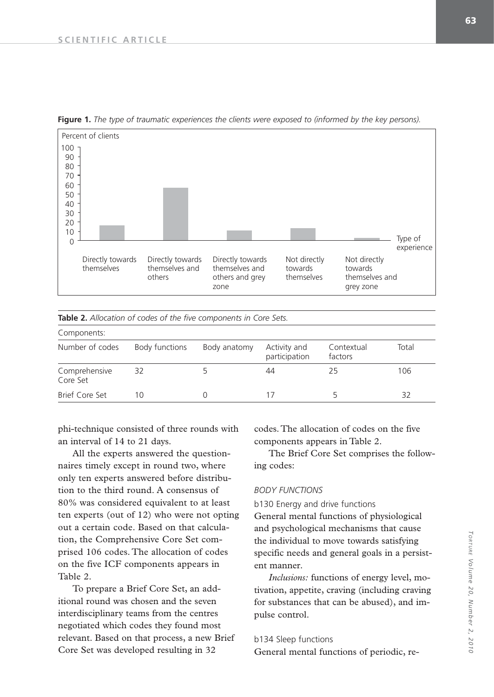

**Figure 1.** *The type of traumatic experiences the clients were exposed to (informed by the key persons).*

| <b>Table 2.</b> Allocation of codes of the five components in Core Sets. |                |              |                               |                       |       |  |  |
|--------------------------------------------------------------------------|----------------|--------------|-------------------------------|-----------------------|-------|--|--|
| Components:                                                              |                |              |                               |                       |       |  |  |
| Number of codes                                                          | Body functions | Body anatomy | Activity and<br>participation | Contextual<br>factors | Total |  |  |
| Comprehensive<br>Core Set                                                | 32             |              | 44                            | 25                    | 106   |  |  |
| <b>Brief Core Set</b>                                                    | 10             |              |                               |                       | 32    |  |  |

phi-technique consisted of three rounds with an interval of 14 to 21 days.

All the experts answered the questionnaires timely except in round two, where only ten experts answered before distribution to the third round. A consensus of 80% was considered equivalent to at least ten experts (out of 12) who were not opting out a certain code. Based on that calculation, the Comprehensive Core Set comprised 106 codes. The allocation of codes on the five ICF components appears in Table 2.

To prepare a Brief Core Set, an additional round was chosen and the seven interdisciplinary teams from the centres negotiated which codes they found most relevant. Based on that process, a new Brief Core Set was developed resulting in 32

codes. The allocation of codes on the five components appears in Table 2.

The Brief Core Set comprises the following codes:

# *BODY FUNCTIONS*

## b130 Energy and drive functions

General mental functions of physiological and psychological mechanisms that cause the individual to move towards satisfying specific needs and general goals in a persistent manner.

*Inclusions:* functions of energy level, motivation, appetite, craving (including craving for substances that can be abused), and impulse control.

# b134 Sleep functions

General mental functions of periodic, re-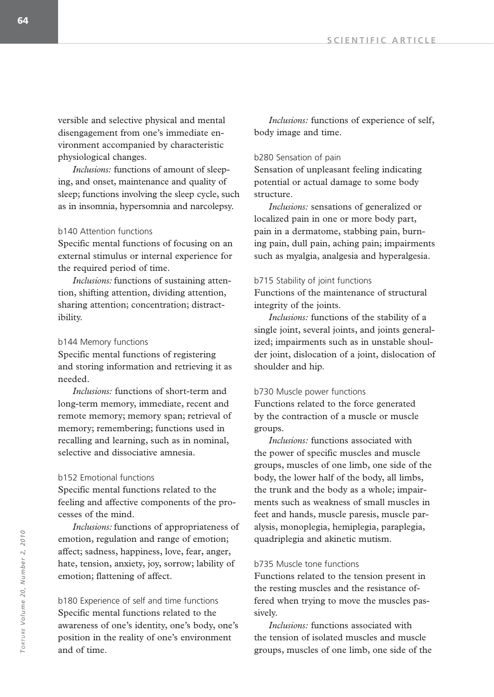versible and selective physical and mental disengagement from one's immediate environment accompanied by characteristic physiological changes.

*Inclusions:* functions of amount of sleeping, and onset, maintenance and quality of sleep; functions involving the sleep cycle, such as in insomnia, hypersomnia and narcolepsy.

# b140 Attention functions

Specific mental functions of focusing on an external stimulus or internal experience for the required period of time.

*Inclusions:* functions of sustaining attention, shifting attention, dividing attention, sharing attention; concentration; distractibility.

# b144 Memory functions

Specific mental functions of registering and storing information and retrieving it as needed.

*Inclusions:* functions of short-term and long-term memory, immediate, recent and remote memory; memory span; retrieval of memory; remembering; functions used in recalling and learning, such as in nominal, selective and dissociative amnesia.

# b152 Emotional functions

Specific mental functions related to the feeling and affective components of the processes of the mind.

*Inclusions:* functions of appropriateness of emotion, regulation and range of emotion; affect; sadness, happiness, love, fear, anger, hate, tension, anxiety, joy, sorrow; lability of emotion; flattening of affect.

b180 Experience of self and time functions Specific mental functions related to the awareness of one's identity, one's body, one's position in the reality of one's environment and of time.

*Inclusions:* functions of experience of self, body image and time.

# b280 Sensation of pain

Sensation of unpleasant feeling indicating potential or actual damage to some body structure.

*Inclusions:* sensations of generalized or localized pain in one or more body part, pain in a dermatome, stabbing pain, burning pain, dull pain, aching pain; impairments such as myalgia, analgesia and hyperalgesia.

# b715 Stability of joint functions

Functions of the maintenance of structural integrity of the joints.

*Inclusions:* functions of the stability of a single joint, several joints, and joints generalized; impairments such as in unstable shoulder joint, dislocation of a joint, dislocation of shoulder and hip.

# b730 Muscle power functions

Functions related to the force generated by the contraction of a muscle or muscle groups.

*Inclusions:* functions associated with the power of specific muscles and muscle groups, muscles of one limb, one side of the body, the lower half of the body, all limbs, the trunk and the body as a whole; impairments such as weakness of small muscles in feet and hands, muscle paresis, muscle paralysis, monoplegia, hemiplegia, paraplegia, quadriplegia and akinetic mutism.

# b735 Muscle tone functions

Functions related to the tension present in the resting muscles and the resistance offered when trying to move the muscles passively.

*Inclusions:* functions associated with the tension of isolated muscles and muscle groups, muscles of one limb, one side of the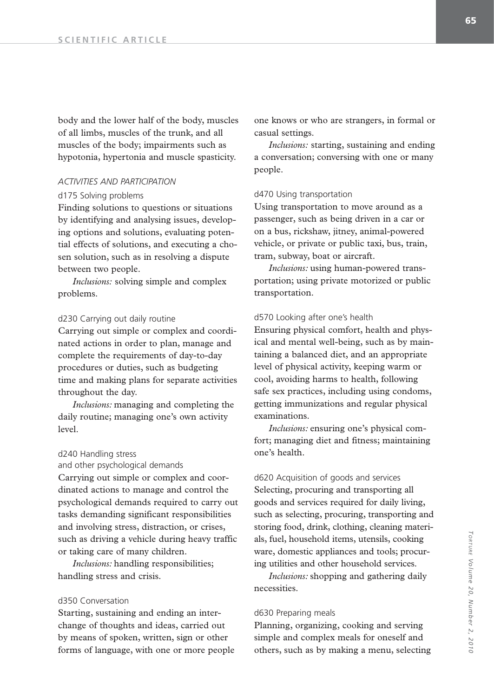body and the lower half of the body, muscles of all limbs, muscles of the trunk, and all muscles of the body; impairments such as hypotonia, hypertonia and muscle spasticity.

# *ACTIVITIES AND PARTICIPATION* d175 Solving problems

Finding solutions to questions or situations by identifying and analysing issues, developing options and solutions, evaluating potential effects of solutions, and executing a chosen solution, such as in resolving a dispute between two people.

*Inclusions:* solving simple and complex problems.

# d230 Carrying out daily routine

Carrying out simple or complex and coordinated actions in order to plan, manage and complete the requirements of day-to-day procedures or duties, such as budgeting time and making plans for separate activities throughout the day.

*Inclusions:* managing and completing the daily routine; managing one's own activity level.

#### d240 Handling stress

and other psychological demands Carrying out simple or complex and coordinated actions to manage and control the psychological demands required to carry out tasks demanding significant responsibilities and involving stress, distraction, or crises, such as driving a vehicle during heavy traffic or taking care of many children.

*Inclusions:* handling responsibilities; handling stress and crisis.

# d350 Conversation

Starting, sustaining and ending an interchange of thoughts and ideas, carried out by means of spoken, written, sign or other forms of language, with one or more people

one knows or who are strangers, in formal or casual settings.

*Inclusions:* starting, sustaining and ending a conversation; conversing with one or many people.

## d470 Using transportation

Using transportation to move around as a passenger, such as being driven in a car or on a bus, rickshaw, jitney, animal-powered vehicle, or private or public taxi, bus, train, tram, subway, boat or aircraft.

*Inclusions:* using human-powered transportation; using private motorized or public transportation.

# d570 Looking after one's health

Ensuring physical comfort, health and physical and mental well-being, such as by maintaining a balanced diet, and an appropriate level of physical activity, keeping warm or cool, avoiding harms to health, following safe sex practices, including using condoms, getting immunizations and regular physical examinations.

*Inclusions:* ensuring one's physical comfort; managing diet and fitness; maintaining one's health.

d620 Acquisition of goods and services Selecting, procuring and transporting all goods and services required for daily living, such as selecting, procuring, transporting and storing food, drink, clothing, cleaning materials, fuel, household items, utensils, cooking ware, domestic appliances and tools; procuring utilities and other household services.

*Inclusions:* shopping and gathering daily necessities.

#### d630 Preparing meals

Planning, organizing, cooking and serving simple and complex meals for oneself and others, such as by making a menu, selecting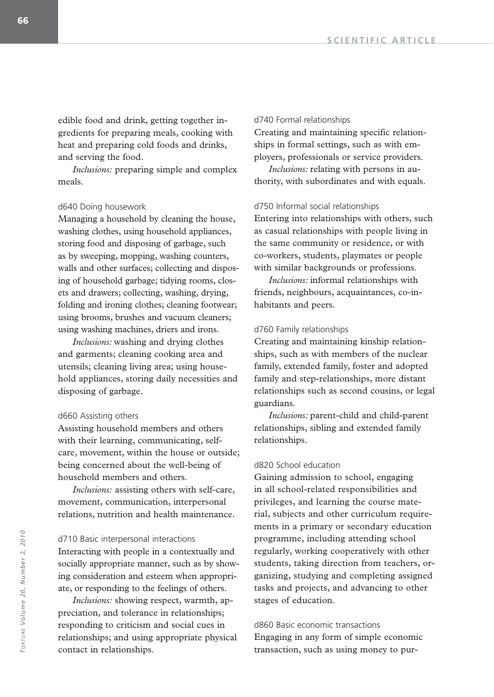edible food and drink, getting together ingredients for preparing meals, cooking with heat and preparing cold foods and drinks, and serving the food.

*Inclusions:* preparing simple and complex meals.

## d640 Doing housework

Managing a household by cleaning the house, washing clothes, using household appliances, storing food and disposing of garbage, such as by sweeping, mopping, washing counters, walls and other surfaces; collecting and disposing of household garbage; tidying rooms, closets and drawers; collecting, washing, drying, folding and ironing clothes; cleaning footwear; using brooms, brushes and vacuum cleaners; using washing machines, driers and irons.

*Inclusions:* washing and drying clothes and garments; cleaning cooking area and utensils; cleaning living area; using household appliances, storing daily necessities and disposing of garbage.

#### d660 Assisting others

Assisting household members and others with their learning, communicating, selfcare, movement, within the house or outside; being concerned about the well-being of household members and others.

*Inclusions:* assisting others with self-care, movement, communication, interpersonal relations, nutrition and health maintenance.

d710 Basic interpersonal interactions Interacting with people in a contextually and socially appropriate manner, such as by showing consideration and esteem when appropriate, or responding to the feelings of others.

*Inclusions:* showing respect, warmth, appreciation, and tolerance in relationships; responding to criticism and social cues in relationships; and using appropriate physical contact in relationships.

#### d740 Formal relationships

Creating and maintaining specific relationships in formal settings, such as with employers, professionals or service providers.

*Inclusions:* relating with persons in authority, with subordinates and with equals.

d750 Informal social relationships

Entering into relationships with others, such as casual relationships with people living in the same community or residence, or with co-workers, students, playmates or people with similar backgrounds or professions.

*Inclusions:* informal relationships with friends, neighbours, acquaintances, co-inhabitants and peers.

## d760 Family relationships

Creating and maintaining kinship relationships, such as with members of the nuclear family, extended family, foster and adopted family and step-relationships, more distant relationships such as second cousins, or legal guardians.

*Inclusions:* parent-child and child-parent relationships, sibling and extended family relationships.

## d820 School education

Gaining admission to school, engaging in all school-related responsibilities and privileges, and learning the course material, subjects and other curriculum requirements in a primary or secondary education programme, including attending school regularly, working cooperatively with other students, taking direction from teachers, organizing, studying and completing assigned tasks and projects, and advancing to other stages of education.

d860 Basic economic transactions Engaging in any form of simple economic transaction, such as using money to pur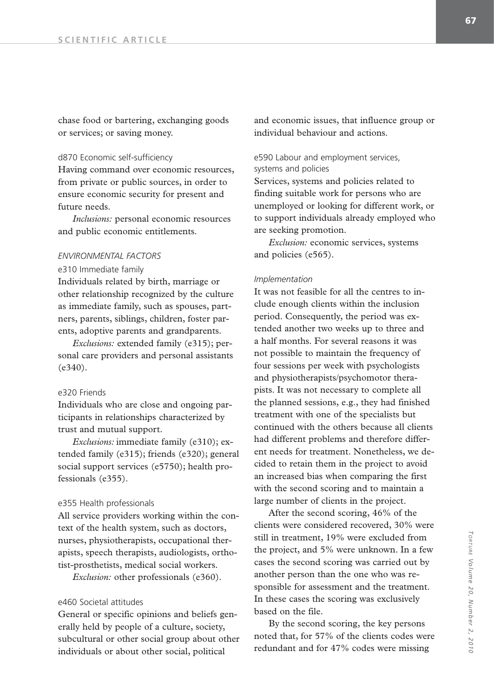chase food or bartering, exchanging goods or services; or saving money.

# d870 Economic self-sufficiency

Having command over economic resources, from private or public sources, in order to ensure economic security for present and future needs.

*Inclusions:* personal economic resources and public economic entitlements.

#### *ENVIRONMENTAL FACTORS*

#### e310 Immediate family

Individuals related by birth, marriage or other relationship recognized by the culture as immediate family, such as spouses, partners, parents, siblings, children, foster parents, adoptive parents and grandparents.

*Exclusions:* extended family (e315); personal care providers and personal assistants (e340).

#### e320 Friends

Individuals who are close and ongoing participants in relationships characterized by trust and mutual support.

*Exclusions:* immediate family (e310); extended family (e315); friends (e320); general social support services (e5750); health professionals (e355).

#### e355 Health professionals

All service providers working within the context of the health system, such as doctors, nurses, physiotherapists, occupational therapists, speech therapists, audiologists, orthotist-prosthetists, medical social workers.

*Exclusion:* other professionals (e360).

#### e460 Societal attitudes

General or specific opinions and beliefs generally held by people of a culture, society, subcultural or other social group about other individuals or about other social, political

and economic issues, that influence group or individual behaviour and actions.

# e590 Labour and employment services, systems and policies

Services, systems and policies related to finding suitable work for persons who are unemployed or looking for different work, or to support individuals already employed who are seeking promotion.

*Exclusion:* economic services, systems and policies (e565).

#### *Implementation*

It was not feasible for all the centres to include enough clients within the inclusion period. Consequently, the period was extended another two weeks up to three and a half months. For several reasons it was not possible to maintain the frequency of four sessions per week with psychologists and physiotherapists/psychomotor therapists. It was not necessary to complete all the planned sessions, e.g., they had finished treatment with one of the specialists but continued with the others because all clients had different problems and therefore different needs for treatment. Nonetheless, we decided to retain them in the project to avoid an increased bias when comparing the first with the second scoring and to maintain a large number of clients in the project.

After the second scoring, 46% of the clients were considered recovered, 30% were still in treatment, 19% were excluded from the project, and 5% were unknown. In a few cases the second scoring was carried out by another person than the one who was responsible for assessment and the treatment. In these cases the scoring was exclusively based on the file.

By the second scoring, the key persons noted that, for 57% of the clients codes were redundant and for 47% codes were missing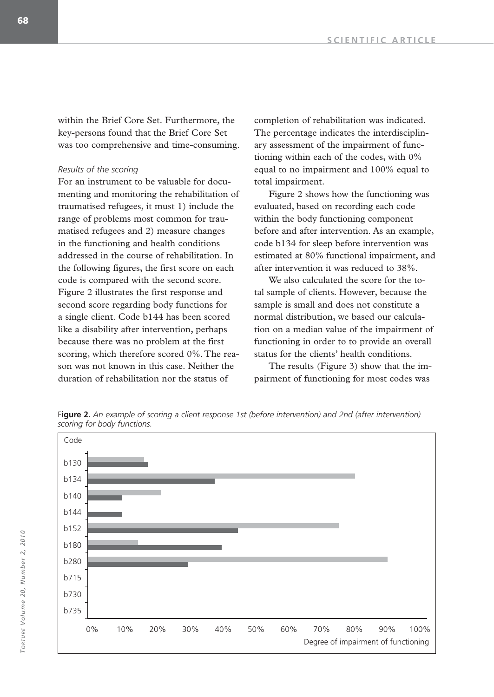within the Brief Core Set. Furthermore, the key-persons found that the Brief Core Set was too comprehensive and time-consuming.

## *Results of the scoring*

For an instrument to be valuable for documenting and monitoring the rehabilitation of traumatised refugees, it must 1) include the range of problems most common for traumatised refugees and 2) measure changes in the functioning and health conditions addressed in the course of rehabilitation. In the following figures, the first score on each code is compared with the second score. Figure 2 illustrates the first response and second score regarding body functions for a single client. Code b144 has been scored like a disability after intervention, perhaps because there was no problem at the first scoring, which therefore scored 0%. The reason was not known in this case. Neither the duration of rehabilitation nor the status of

completion of rehabilitation was indicated. The percentage indicates the interdisciplinary assessment of the impairment of functioning within each of the codes, with 0% equal to no impairment and 100% equal to total impairment.

Figure 2 shows how the functioning was evaluated, based on recording each code within the body functioning component before and after intervention. As an example, code b134 for sleep before intervention was estimated at 80% functional impairment, and after intervention it was reduced to 38%.

We also calculated the score for the total sample of clients. However, because the sample is small and does not constitute a normal distribution, we based our calculation on a median value of the impairment of functioning in order to to provide an overall status for the clients' health conditions.

The results (Figure 3) show that the impairment of functioning for most codes was

F**igure 2.** *An example of scoring a client response 1st (before intervention) and 2nd (after intervention) scoring for body functions.*

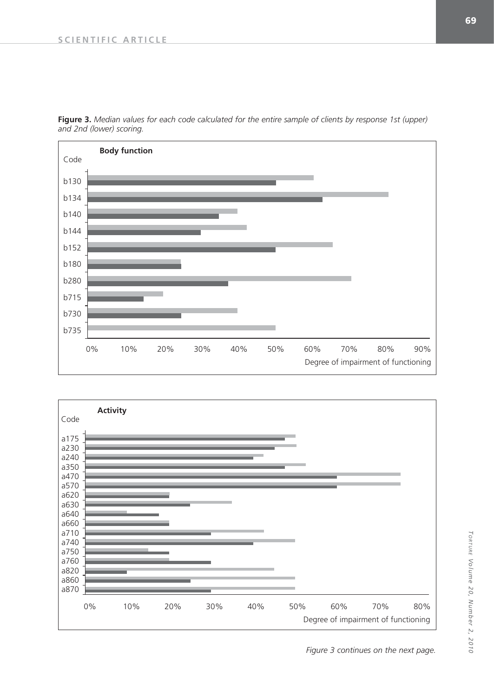

**Figure 3.** *Median values for each code calculated for the entire sample of clients by response 1st (upper) and 2nd (lower) scoring.*



Torrune Volume 20, Number 2, 2010 *TORTURE Volume 20, Number 2, 2010*

**69**

*Figure 3 continues on the next page.*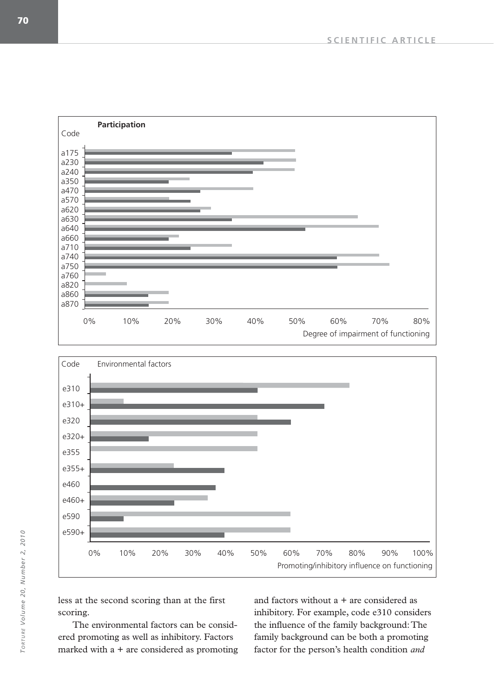



less at the second scoring than at the first scoring.

The environmental factors can be considered promoting as well as inhibitory. Factors marked with a + are considered as promoting and factors without a + are considered as inhibitory. For example, code e310 considers the influence of the family background: The family background can be both a promoting factor for the person's health condition *and*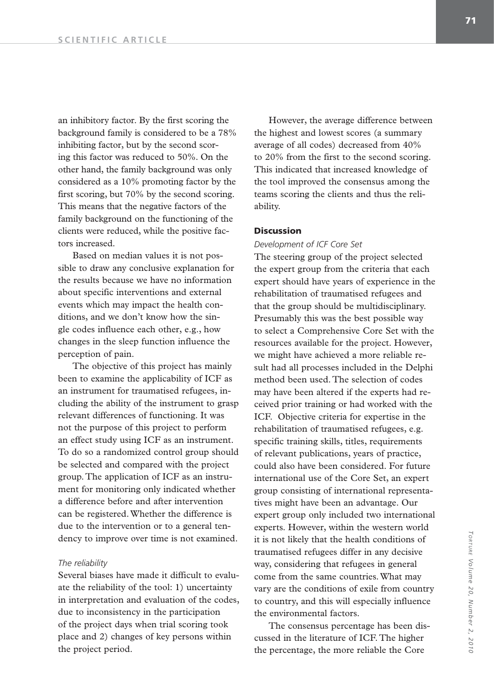an inhibitory factor. By the first scoring the background family is considered to be a 78% inhibiting factor, but by the second scoring this factor was reduced to 50%. On the other hand, the family background was only considered as a 10% promoting factor by the first scoring, but 70% by the second scoring. This means that the negative factors of the family background on the functioning of the clients were reduced, while the positive factors increased.

Based on median values it is not possible to draw any conclusive explanation for the results because we have no information about specific interventions and external events which may impact the health conditions, and we don't know how the single codes influence each other, e.g., how changes in the sleep function influence the perception of pain.

The objective of this project has mainly been to examine the applicability of ICF as an instrument for traumatised refugees, including the ability of the instrument to grasp relevant differences of functioning. It was not the purpose of this project to perform an effect study using ICF as an instrument. To do so a randomized control group should be selected and compared with the project group. The application of ICF as an instrument for monitoring only indicated whether a difference before and after intervention can be registered. Whether the difference is due to the intervention or to a general tendency to improve over time is not examined.

## *The reliability*

Several biases have made it difficult to evaluate the reliability of the tool: 1) uncertainty in interpretation and evaluation of the codes, due to inconsistency in the participation of the project days when trial scoring took place and 2) changes of key persons within the project period.

However, the average difference between the highest and lowest scores (a summary average of all codes) decreased from 40% to 20% from the first to the second scoring. This indicated that increased knowledge of the tool improved the consensus among the teams scoring the clients and thus the reliability.

## **Discussion**

# *Development of ICF Core Set*

The steering group of the project selected the expert group from the criteria that each expert should have years of experience in the rehabilitation of traumatised refugees and that the group should be multidisciplinary. Presumably this was the best possible way to select a Comprehensive Core Set with the resources available for the project. However, we might have achieved a more reliable result had all processes included in the Delphi method been used. The selection of codes may have been altered if the experts had received prior training or had worked with the ICF. Objective criteria for expertise in the rehabilitation of traumatised refugees, e.g. specific training skills, titles, requirements of relevant publications, years of practice, could also have been considered. For future international use of the Core Set, an expert group consisting of international representatives might have been an advantage. Our expert group only included two international experts. However, within the western world it is not likely that the health conditions of traumatised refugees differ in any decisive way, considering that refugees in general come from the same countries. What may vary are the conditions of exile from country to country, and this will especially influence the environmental factors.

The consensus percentage has been discussed in the literature of ICF. The higher the percentage, the more reliable the Core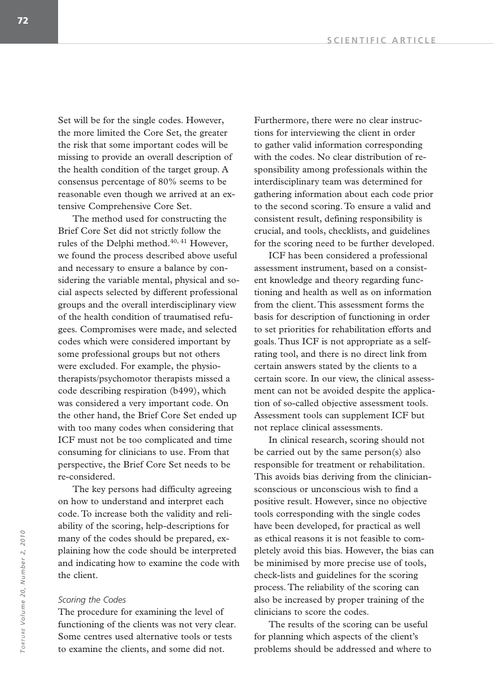Set will be for the single codes. However, the more limited the Core Set, the greater the risk that some important codes will be missing to provide an overall description of the health condition of the target group. A consensus percentage of 80% seems to be reasonable even though we arrived at an extensive Comprehensive Core Set.

The method used for constructing the Brief Core Set did not strictly follow the rules of the Delphi method.<sup>40, 41</sup> However, we found the process described above useful and necessary to ensure a balance by considering the variable mental, physical and social aspects selected by different professional groups and the overall interdisciplinary view of the health condition of traumatised refugees. Compromises were made, and selected codes which were considered important by some professional groups but not others were excluded. For example, the physiotherapists/psychomotor therapists missed a code describing respiration (b499), which was considered a very important code. On the other hand, the Brief Core Set ended up with too many codes when considering that ICF must not be too complicated and time consuming for clinicians to use. From that perspective, the Brief Core Set needs to be re-considered.

The key persons had difficulty agreeing on how to understand and interpret each code. To increase both the validity and reliability of the scoring, help-descriptions for many of the codes should be prepared, explaining how the code should be interpreted and indicating how to examine the code with the client.

#### *Scoring the Codes*

The procedure for examining the level of functioning of the clients was not very clear. Some centres used alternative tools or tests to examine the clients, and some did not.

Furthermore, there were no clear instructions for interviewing the client in order to gather valid information corresponding with the codes. No clear distribution of responsibility among professionals within the interdisciplinary team was determined for gathering information about each code prior to the second scoring. To ensure a valid and consistent result, defining responsibility is crucial, and tools, checklists, and guidelines for the scoring need to be further developed.

ICF has been considered a professional assessment instrument, based on a consistent knowledge and theory regarding functioning and health as well as on information from the client. This assessment forms the basis for description of functioning in order to set priorities for rehabilitation efforts and goals. Thus ICF is not appropriate as a selfrating tool, and there is no direct link from certain answers stated by the clients to a certain score. In our view, the clinical assessment can not be avoided despite the application of so-called objective assessment tools. Assessment tools can supplement ICF but not replace clinical assessments.

In clinical research, scoring should not be carried out by the same person(s) also responsible for treatment or rehabilitation. This avoids bias deriving from the cliniciansconscious or unconscious wish to find a positive result. However, since no objective tools corresponding with the single codes have been developed, for practical as well as ethical reasons it is not feasible to completely avoid this bias. However, the bias can be minimised by more precise use of tools, check-lists and guidelines for the scoring process. The reliability of the scoring can also be increased by proper training of the clinicians to score the codes.

The results of the scoring can be useful for planning which aspects of the client's problems should be addressed and where to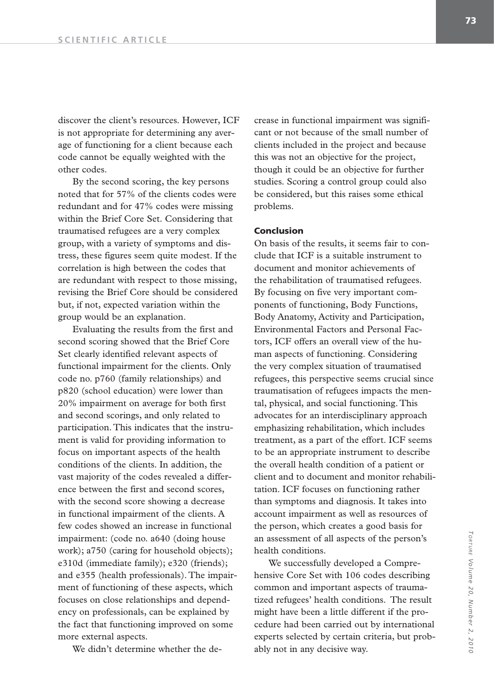discover the client's resources. However, ICF is not appropriate for determining any average of functioning for a client because each code cannot be equally weighted with the other codes.

By the second scoring, the key persons noted that for 57% of the clients codes were redundant and for 47% codes were missing within the Brief Core Set. Considering that traumatised refugees are a very complex group, with a variety of symptoms and distress, these figures seem quite modest. If the correlation is high between the codes that are redundant with respect to those missing, revising the Brief Core should be considered but, if not, expected variation within the group would be an explanation.

Evaluating the results from the first and second scoring showed that the Brief Core Set clearly identified relevant aspects of functional impairment for the clients. Only code no. p760 (family relationships) and p820 (school education) were lower than 20% impairment on average for both first and second scorings, and only related to participation. This indicates that the instrument is valid for providing information to focus on important aspects of the health conditions of the clients. In addition, the vast majority of the codes revealed a difference between the first and second scores, with the second score showing a decrease in functional impairment of the clients. A few codes showed an increase in functional impairment: (code no. a640 (doing house work); a750 (caring for household objects); e310d (immediate family); e320 (friends); and e355 (health professionals). The impairment of functioning of these aspects, which focuses on close relationships and dependency on professionals, can be explained by the fact that functioning improved on some more external aspects.

We didn't determine whether the de-

crease in functional impairment was significant or not because of the small number of clients included in the project and because this was not an objective for the project, though it could be an objective for further studies. Scoring a control group could also be considered, but this raises some ethical problems.

# **Conclusion**

On basis of the results, it seems fair to conclude that ICF is a suitable instrument to document and monitor achievements of the rehabilitation of traumatised refugees. By focusing on five very important components of functioning, Body Functions, Body Anatomy, Activity and Participation, Environmental Factors and Personal Factors, ICF offers an overall view of the human aspects of functioning. Considering the very complex situation of traumatised refugees, this perspective seems crucial since traumatisation of refugees impacts the mental, physical, and social functioning. This advocates for an interdisciplinary approach emphasizing rehabilitation, which includes treatment, as a part of the effort. ICF seems to be an appropriate instrument to describe the overall health condition of a patient or client and to document and monitor rehabilitation. ICF focuses on functioning rather than symptoms and diagnosis. It takes into account impairment as well as resources of the person, which creates a good basis for an assessment of all aspects of the person's health conditions.

We successfully developed a Comprehensive Core Set with 106 codes describing common and important aspects of traumatized refugees' health conditions. The result might have been a little different if the procedure had been carried out by international experts selected by certain criteria, but probably not in any decisive way.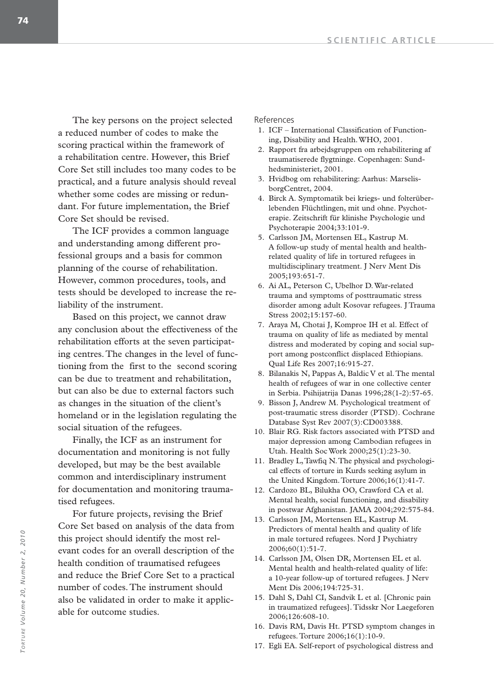The key persons on the project selected a reduced number of codes to make the scoring practical within the framework of a rehabilitation centre. However, this Brief Core Set still includes too many codes to be practical, and a future analysis should reveal whether some codes are missing or redundant. For future implementation, the Brief Core Set should be revised.

The ICF provides a common language and understanding among different professional groups and a basis for common planning of the course of rehabilitation. However, common procedures, tools, and tests should be developed to increase the reliability of the instrument.

Based on this project, we cannot draw any conclusion about the effectiveness of the rehabilitation efforts at the seven participating centres. The changes in the level of functioning from the first to the second scoring can be due to treatment and rehabilitation, but can also be due to external factors such as changes in the situation of the client's homeland or in the legislation regulating the social situation of the refugees.

Finally, the ICF as an instrument for documentation and monitoring is not fully developed, but may be the best available common and interdisciplinary instrument for documentation and monitoring traumatised refugees.

For future projects, revising the Brief Core Set based on analysis of the data from this project should identify the most relevant codes for an overall description of the health condition of traumatised refugees and reduce the Brief Core Set to a practical number of codes. The instrument should also be validated in order to make it applicable for outcome studies.

#### References

- 1. ICF International Classification of Functioning, Disability and Health. WHO, 2001.
- 2. Rapport fra arbejdsgruppen om rehabilitering af traumatiserede flygtninge. Copenhagen: Sundhedsministeriet, 2001.
- 3. Hvidbog om rehabilitering: Aarhus: MarselisborgCentret, 2004.
- 4. Birck A. Symptomatik bei kriegs- und folterüberlebenden Flüchtlingen, mit und ohne. Psychoterapie. Zeitschrift für klinishe Psychologie und Psychoterapie 2004;33:101-9.
- 5. Carlsson JM, Mortensen EL, Kastrup M. A follow-up study of mental health and healthrelated quality of life in tortured refugees in multidisciplinary treatment. J Nerv Ment Dis 2005;193:651-7.
- 6. Ai AL, Peterson C, Ubelhor D. War-related trauma and symptoms of posttraumatic stress disorder among adult Kosovar refugees. J Trauma Stress 2002;15:157-60.
- 7. Araya M, Chotai J, Komproe IH et al. Effect of trauma on quality of life as mediated by mental distress and moderated by coping and social support among postconflict displaced Ethiopians. Qual Life Res 2007;16:915-27.
- 8. Bilanakis N, Pappas A, Baldic V et al. The mental health of refugees of war in one collective center in Serbia. Psihijatrija Danas 1996;28(1-2):57-65.
- 9. Bisson J, Andrew M. Psychological treatment of post-traumatic stress disorder (PTSD). Cochrane Database Syst Rev 2007(3):CD003388.
- 10. Blair RG. Risk factors associated with PTSD and major depression among Cambodian refugees in Utah. Health Soc Work 2000;25(1):23-30.
- 11. Bradley L, Tawfiq N. The physical and psychological effects of torture in Kurds seeking asylum in the United Kingdom. Torture 2006;16(1):41-7.
- 12. Cardozo BL, Bilukha OO, Crawford CA et al. Mental health, social functioning, and disability in postwar Afghanistan. JAMA 2004;292:575-84.
- 13. Carlsson JM, Mortensen EL, Kastrup M. Predictors of mental health and quality of life in male tortured refugees. Nord J Psychiatry 2006;60(1):51-7.
- 14. Carlsson JM, Olsen DR, Mortensen EL et al. Mental health and health-related quality of life: a 10-year follow-up of tortured refugees. J Nerv Ment Dis 2006;194:725-31.
- 15. Dahl S, Dahl CI, Sandvik L et al. [Chronic pain in traumatized refugees]. Tidsskr Nor Laegeforen 2006;126:608-10.
- 16. Davis RM, Davis Ht. PTSD symptom changes in refugees. Torture 2006;16(1):10-9.
- 17. Egli EA. Self-report of psychological distress and